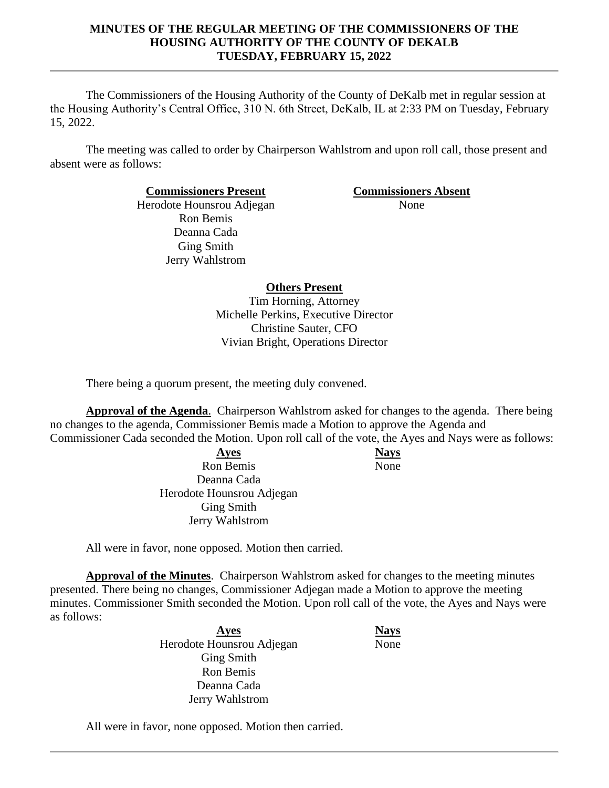The Commissioners of the Housing Authority of the County of DeKalb met in regular session at the Housing Authority's Central Office, 310 N. 6th Street, DeKalb, IL at 2:33 PM on Tuesday, February 15, 2022.

The meeting was called to order by Chairperson Wahlstrom and upon roll call, those present and absent were as follows:

**Commissioners Present Commissioners Absent**

Herodote Hounsrou Adjegan Ron Bemis Deanna Cada Ging Smith Jerry Wahlstrom

None

# **Others Present**

Tim Horning, Attorney Michelle Perkins, Executive Director Christine Sauter, CFO Vivian Bright, Operations Director

There being a quorum present, the meeting duly convened.

**Approval of the Agenda**. Chairperson Wahlstrom asked for changes to the agenda. There being no changes to the agenda, Commissioner Bemis made a Motion to approve the Agenda and

Commissioner Cada seconded the Motion. Upon roll call of the vote, the Ayes and Nays were as follows:

**Ayes Nays** Ron Bemis Deanna Cada Herodote Hounsrou Adjegan Ging Smith Jerry Wahlstrom

None

All were in favor, none opposed. Motion then carried.

**Approval of the Minutes**. Chairperson Wahlstrom asked for changes to the meeting minutes presented. There being no changes, Commissioner Adjegan made a Motion to approve the meeting minutes. Commissioner Smith seconded the Motion. Upon roll call of the vote, the Ayes and Nays were as follows:

> **Ayes Nays** Herodote Hounsrou Adjegan Ging Smith Ron Bemis Deanna Cada Jerry Wahlstrom

None

All were in favor, none opposed. Motion then carried.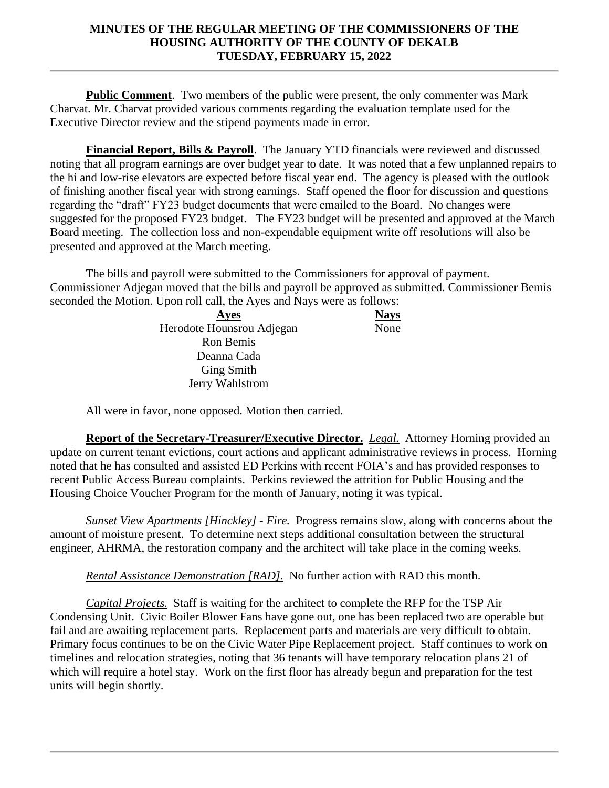**Public Comment**. Two members of the public were present, the only commenter was Mark Charvat. Mr. Charvat provided various comments regarding the evaluation template used for the Executive Director review and the stipend payments made in error.

**Financial Report, Bills & Payroll**. The January YTD financials were reviewed and discussed noting that all program earnings are over budget year to date. It was noted that a few unplanned repairs to the hi and low-rise elevators are expected before fiscal year end. The agency is pleased with the outlook of finishing another fiscal year with strong earnings. Staff opened the floor for discussion and questions regarding the "draft" FY23 budget documents that were emailed to the Board. No changes were suggested for the proposed FY23 budget. The FY23 budget will be presented and approved at the March Board meeting. The collection loss and non-expendable equipment write off resolutions will also be presented and approved at the March meeting.

The bills and payroll were submitted to the Commissioners for approval of payment. Commissioner Adjegan moved that the bills and payroll be approved as submitted. Commissioner Bemis seconded the Motion. Upon roll call, the Ayes and Nays were as follows:

| Ayes                      | <b>Nays</b> |
|---------------------------|-------------|
| Herodote Hounsrou Adjegan | None        |
| <b>Ron Bemis</b>          |             |
| Deanna Cada               |             |
| <b>Ging Smith</b>         |             |
| Jerry Wahlstrom           |             |

All were in favor, none opposed. Motion then carried.

**Report of the Secretary-Treasurer/Executive Director.** *Legal.* Attorney Horning provided an update on current tenant evictions, court actions and applicant administrative reviews in process. Horning noted that he has consulted and assisted ED Perkins with recent FOIA's and has provided responses to recent Public Access Bureau complaints. Perkins reviewed the attrition for Public Housing and the Housing Choice Voucher Program for the month of January, noting it was typical.

*Sunset View Apartments [Hinckley] - Fire.* Progress remains slow, along with concerns about the amount of moisture present. To determine next steps additional consultation between the structural engineer, AHRMA, the restoration company and the architect will take place in the coming weeks.

*Rental Assistance Demonstration [RAD].* No further action with RAD this month.

*Capital Projects.* Staff is waiting for the architect to complete the RFP for the TSP Air Condensing Unit. Civic Boiler Blower Fans have gone out, one has been replaced two are operable but fail and are awaiting replacement parts. Replacement parts and materials are very difficult to obtain. Primary focus continues to be on the Civic Water Pipe Replacement project. Staff continues to work on timelines and relocation strategies, noting that 36 tenants will have temporary relocation plans 21 of which will require a hotel stay. Work on the first floor has already begun and preparation for the test units will begin shortly.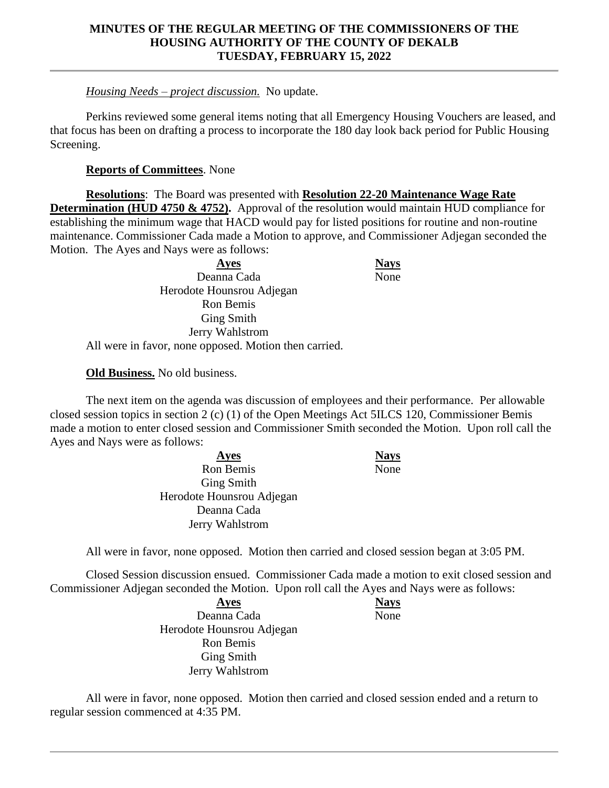# *Housing Needs – project discussion.* No update.

Perkins reviewed some general items noting that all Emergency Housing Vouchers are leased, and that focus has been on drafting a process to incorporate the 180 day look back period for Public Housing Screening.

## **Reports of Committees**. None

**Resolutions**: The Board was presented with **Resolution 22-20 Maintenance Wage Rate Determination** (HUD 4750 & 4752). Approval of the resolution would maintain HUD compliance for establishing the minimum wage that HACD would pay for listed positions for routine and non-routine maintenance. Commissioner Cada made a Motion to approve, and Commissioner Adjegan seconded the Motion. The Ayes and Nays were as follows:

| <b>Ayes</b>                                           |  |
|-------------------------------------------------------|--|
| Deanna Cada                                           |  |
| Herodote Hounsrou Adjegan                             |  |
| Ron Bemis                                             |  |
| <b>Ging Smith</b>                                     |  |
| Jerry Wahlstrom                                       |  |
| All were in favor, none opposed. Motion then carried. |  |

## **Old Business.** No old business.

The next item on the agenda was discussion of employees and their performance. Per allowable closed session topics in section 2 (c) (1) of the Open Meetings Act 5ILCS 120, Commissioner Bemis made a motion to enter closed session and Commissioner Smith seconded the Motion. Upon roll call the Ayes and Nays were as follows:

> **Ayes Nays** Ron Bemis Ging Smith Herodote Hounsrou Adjegan Deanna Cada Jerry Wahlstrom

None

None

**Ayes Nays**

None

All were in favor, none opposed. Motion then carried and closed session began at 3:05 PM.

Closed Session discussion ensued. Commissioner Cada made a motion to exit closed session and Commissioner Adjegan seconded the Motion. Upon roll call the Ayes and Nays were as follows:

> **Ayes Nays** Deanna Cada Herodote Hounsrou Adjegan Ron Bemis Ging Smith Jerry Wahlstrom

All were in favor, none opposed. Motion then carried and closed session ended and a return to regular session commenced at 4:35 PM.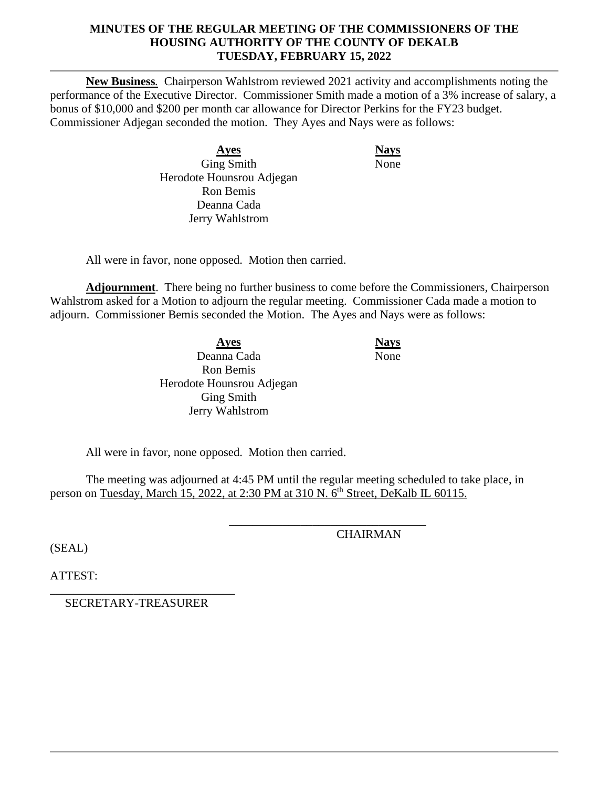**New Business***.* Chairperson Wahlstrom reviewed 2021 activity and accomplishments noting the performance of the Executive Director. Commissioner Smith made a motion of a 3% increase of salary, a bonus of \$10,000 and \$200 per month car allowance for Director Perkins for the FY23 budget. Commissioner Adjegan seconded the motion. They Ayes and Nays were as follows:

> **Ayes Nays** Ging Smith Herodote Hounsrou Adjegan Ron Bemis Deanna Cada Jerry Wahlstrom

None

All were in favor, none opposed. Motion then carried.

**Adjournment**. There being no further business to come before the Commissioners, Chairperson Wahlstrom asked for a Motion to adjourn the regular meeting. Commissioner Cada made a motion to adjourn. Commissioner Bemis seconded the Motion. The Ayes and Nays were as follows:

> **Ayes Nays** Deanna Cada Ron Bemis Herodote Hounsrou Adjegan Ging Smith Jerry Wahlstrom

None

All were in favor, none opposed. Motion then carried.

The meeting was adjourned at 4:45 PM until the regular meeting scheduled to take place, in person on Tuesday, March 15, 2022, at 2:30 PM at 310 N. 6<sup>th</sup> Street, DeKalb IL 60115.

\_\_\_\_\_\_\_\_\_\_\_\_\_\_\_\_\_\_\_\_\_\_\_\_\_\_\_\_\_\_\_\_\_

(SEAL)

**CHAIRMAN** 

ATTEST:

\_\_\_\_\_\_\_\_\_\_\_\_\_\_\_\_\_\_\_\_\_\_\_\_\_\_\_\_\_\_\_ SECRETARY-TREASURER